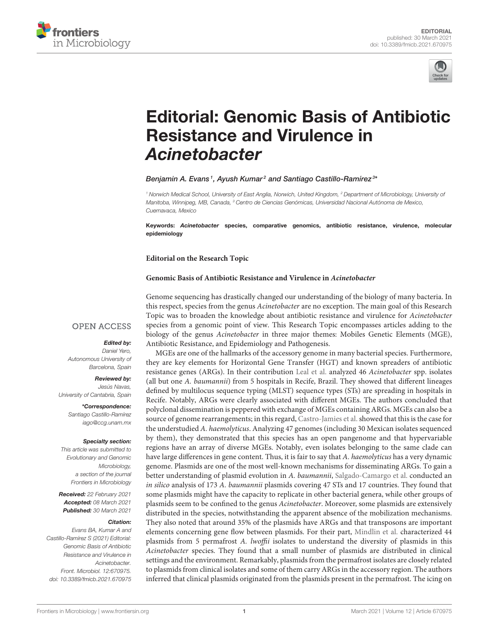



# [Editorial: Genomic Basis of Antibiotic](https://www.frontiersin.org/articles/10.3389/fmicb.2021.670975/full) Resistance and Virulence in Acinetobacter

# Benjamin A. Evans1, Ayush Kumar<sup>2</sup> and Santiago Castillo-Ramírez<sup>3</sup>\*

<sup>1</sup> Norwich Medical School, University of East Anglia, Norwich, United Kingdom, <sup>2</sup> Department of Microbiology, University of Manitoba, Winnipeg, MB, Canada, <sup>3</sup> Centro de Ciencias Genómicas, Universidad Nacional Autónoma de Mexico, Cuernavaca, Mexico

Keywords: Acinetobacter species, comparative genomics, antibiotic resistance, virulence, molecular epidemiology

**Editorial on the Research Topic**

#### **[Genomic Basis of Antibiotic Resistance and Virulence in](https://www.frontiersin.org/research-topics/12244/genomic-basis-of-antibiotic-resistance-and-virulence-in-acinetobacter) Acinetobacter**

### **OPEN ACCESS**

# Edited by:

Daniel Yero, Autonomous University of Barcelona, Spain

#### Reviewed by:

Jesús Navas, University of Cantabria, Spain

> \*Correspondence: Santiago Castillo-Ramírez [iago@ccg.unam.mx](mailto:iago@ccg.unam.mx)

#### Specialty section:

This article was submitted to Evolutionary and Genomic Microbiology, a section of the journal Frontiers in Microbiology

Received: 22 February 2021 Accepted: 08 March 2021 Published: 30 March 2021

#### Citation:

Evans BA, Kumar A and Castillo-Ramírez S (2021) Editorial: Genomic Basis of Antibiotic Resistance and Virulence in Acinetobacter. Front. Microbiol. 12:670975. doi: [10.3389/fmicb.2021.670975](https://doi.org/10.3389/fmicb.2021.670975)

Genome sequencing has drastically changed our understanding of the biology of many bacteria. In this respect, species from the genus Acinetobacter are no exception. The main goal of this Research Topic was to broaden the knowledge about antibiotic resistance and virulence for Acinetobacter species from a genomic point of view. This Research Topic encompasses articles adding to the biology of the genus Acinetobacter in three major themes: Mobiles Genetic Elements (MGE), Antibiotic Resistance, and Epidemiology and Pathogenesis.

MGEs are one of the hallmarks of the accessory genome in many bacterial species. Furthermore, they are key elements for Horizontal Gene Transfer (HGT) and known spreaders of antibiotic resistance genes (ARGs). In their contribution [Leal et al.](https://doi.org/10.3389/fmicb.2020.01176) analyzed 46 Acinetobacter spp. isolates (all but one A. baumannii) from 5 hospitals in Recife, Brazil. They showed that different lineages defined by multilocus sequence typing (MLST) sequence types (STs) are spreading in hospitals in Recife. Notably, ARGs were clearly associated with different MGEs. The authors concluded that polyclonal dissemination is peppered with exchange of MGEs containing ARGs. MGEs can also be a source of genome rearrangements; in this regard, [Castro-Jamies et al.](https://doi.org/10.3389/fmicb.2020.00926) showed that this is the case for the understudied A. haemolyticus. Analyzing 47 genomes (including 30 Mexican isolates sequenced by them), they demonstrated that this species has an open pangenome and that hypervariable regions have an array of diverse MGEs. Notably, even isolates belonging to the same clade can have large differences in gene content. Thus, it is fair to say that A. haemolyticus has a very dynamic genome. Plasmids are one of the most well-known mechanisms for disseminating ARGs. To gain a better understanding of plasmid evolution in A. baumannii, [Salgado-Camargo et al.](https://doi.org/10.3389/fmicb.2020.01283) conducted an in silico analysis of 173 A. baumannii plasmids covering 47 STs and 17 countries. They found that some plasmids might have the capacity to replicate in other bacterial genera, while other groups of plasmids seem to be confined to the genus Acinetobacter. Moreover, some plasmids are extensively distributed in the species, notwithstanding the apparent absence of the mobilization mechanisms. They also noted that around 35% of the plasmids have ARGs and that transposons are important elements concerning gene flow between plasmids. For their part, [Mindlin et al.](https://doi.org/10.3389/fmicb.2020.588410) characterized 44 plasmids from 5 permafrost A. lwoffii isolates to understand the diversity of plasmids in this Acinetobacter species. They found that a small number of plasmids are distributed in clinical settings and the environment. Remarkably, plasmids from the permafrost isolates are closely related to plasmids from clinical isolates and some of them carry ARGs in the accessory region. The authors inferred that clinical plasmids originated from the plasmids present in the permafrost. The icing on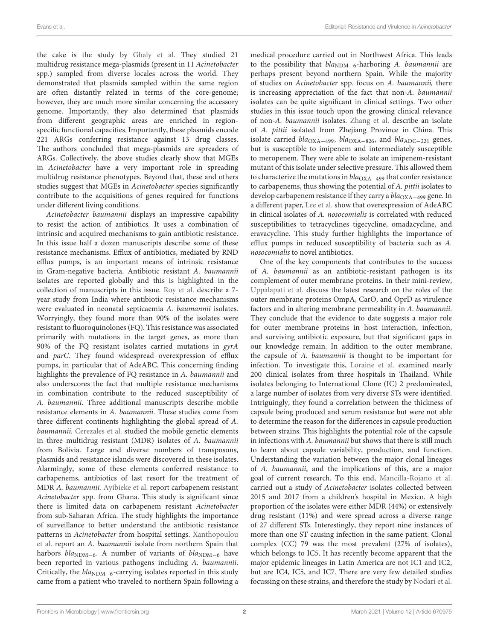the cake is the study by [Ghaly et al.](https://doi.org/10.3389/fmicb.2020.605952) They studied 21 multidrug resistance mega-plasmids (present in 11 Acinetobacter spp.) sampled from diverse locales across the world. They demonstrated that plasmids sampled within the same region are often distantly related in terms of the core-genome; however, they are much more similar concerning the accessory genome. Importantly, they also determined that plasmids from different geographic areas are enriched in regionspecific functional capacities. Importantly, these plasmids encode 221 ARGs conferring resistance against 13 drug classes. The authors concluded that mega-plasmids are spreaders of ARGs. Collectively, the above studies clearly show that MGEs in Acinetobacter have a very important role in spreading multidrug resistance phenotypes. Beyond that, these and others studies suggest that MGEs in Acinetobacter species significantly contribute to the acquisitions of genes required for functions under different living conditions.

Acinetobacter baumannii displays an impressive capability to resist the action of antibiotics. It uses a combination of intrinsic and acquired mechanisms to gain antibiotic resistance. In this issue half a dozen manuscripts describe some of these resistance mechanisms. Efflux of antibiotics, mediated by RND efflux pumps, is an important means of intrinsic resistance in Gram-negative bacteria. Antibiotic resistant A. baumannii isolates are reported globally and this is highlighted in the collection of manuscripts in this issue. [Roy et al.](https://doi.org/10.3389/fmicb.2021.602724) describe a 7 year study from India where antibiotic resistance mechanisms were evaluated in neonatal septicaemia A. baumannii isolates. Worryingly, they found more than 90% of the isolates were resistant to fluoroquinolones (FQ). This resistance was associated primarily with mutations in the target genes, as more than 90% of the FQ resistant isolates carried mutations in gyrA and parC. They found widespread overexpression of efflux pumps, in particular that of AdeABC. This concerning finding highlights the prevalence of FQ resistance in A. baumannii and also underscores the fact that multiple resistance mechanisms in combination contribute to the reduced susceptibility of A. baumannii. Three additional manuscripts describe mobile resistance elements in A. baumannii. These studies come from three different continents highlighting the global spread of A. baumannii. [Cerezales et al.](https://doi.org/10.3389/fmicb.2020.00919) studied the mobile genetic elements in three multidrug resistant (MDR) isolates of A. baumannii from Bolivia. Large and diverse numbers of transposons, plasmids and resistance islands were discovered in these isolates. Alarmingly, some of these elements conferred resistance to carbapenems, antibiotics of last resort for the treatment of MDR A. baumannii. [Ayibieke et al.](https://doi.org/10.3389/fmicb.2020.587398) report carbapenem resistant Acinetobacter spp. from Ghana. This study is significant since there is limited data on carbapenem resistant Acinetobacter from sub-Saharan Africa. The study highlights the importance of surveillance to better understand the antibiotic resistance patterns in Acinetobacter from hospital settings. Xanthopoulou et al. report an A. baumannii [isolate from northern Spain that](https://doi.org/10.3389/fmicb.2020.589253) harbors  $bla_{NDM-6}$ . A number of variants of  $bla_{NDM-6}$  have been reported in various pathogens including A. baumannii. Critically, the  $bla<sub>NDM−6</sub>$ -carrying isolates reported in this study came from a patient who traveled to northern Spain following a medical procedure carried out in Northwest Africa. This leads to the possibility that  $bla_{NDM-6}$ -harboring A. baumannii are perhaps present beyond northern Spain. While the majority of studies on Acinetobacter spp. focus on A. baumannii, there is increasing appreciation of the fact that non-A. baumannii isolates can be quite significant in clinical settings. Two other studies in this issue touch upon the growing clinical relevance of non-A. baumannii isolates. [Zhang et al.](https://doi.org/10.3389/fmicb.2020.01134) describe an isolate of A. pittii isolated from Zhejiang Province in China. This isolate carried bla<sub>OXA−499</sub>, bla<sub>OXA−826</sub>, and bla<sub>ADC−221</sub> genes, but is susceptible to imipenem and intermediately susceptible to meropenem. They were able to isolate an imipenem-resistant mutant of this isolate under selective pressure. This allowed them to characterize the mutations in  $bla_{\text{OXA}-499}$  that confer resistance to carbapenems, thus showing the potential of A. pittii isolates to develop carbapenem resistance if they carry a bla<sub>OXA−499</sub> gene. In a different paper, [Lee et al.](https://doi.org/10.3389/fmicb.2020.584789) show that overexpression of AdeABC in clinical isolates of A. nosocomialis is correlated with reduced susceptibilities to tetracyclines tigecycline, omadacycline, and eravacycline. This study further highlights the importance of efflux pumps in reduced susceptibility of bacteria such as A. nosocomialis to novel antibiotics.

One of the key components that contributes to the success of A. baumannii as an antibiotic-resistant pathogen is its complement of outer membrane proteins. In their mini-review, [Uppalapati et al.](https://doi.org/10.3389/fmicb.2020.589234) discuss the latest research on the roles of the outer membrane proteins OmpA, CarO, and OprD as virulence factors and in altering membrane permeability in A. baumannii. They conclude that the evidence to date suggests a major role for outer membrane proteins in host interaction, infection, and surviving antibiotic exposure, but that significant gaps in our knowledge remain. In addition to the outer membrane, the capsule of A. baumannii is thought to be important for infection. To investigate this, [Loraine et al.](https://doi.org/10.3389/fmicb.2020.00548) examined nearly 200 clinical isolates from three hospitals in Thailand. While isolates belonging to International Clone (IC) 2 predominated, a large number of isolates from very diverse STs were identified. Intriguingly, they found a correlation between the thickness of capsule being produced and serum resistance but were not able to determine the reason for the differences in capsule production between strains. This highlights the potential role of the capsule in infections with A. baumannii but shows that there is still much to learn about capsule variability, production, and function. Understanding the variation between the major clonal lineages of A. baumannii, and the implications of this, are a major goal of current research. To this end, [Mancilla-Rojano et al.](https://doi.org/10.3389/fmicb.2020.576673) carried out a study of Acinetobacter isolates collected between 2015 and 2017 from a children's hospital in Mexico. A high proportion of the isolates were either MDR (44%) or extensively drug resistant (11%) and were spread across a diverse range of 27 different STs. Interestingly, they report nine instances of more than one ST causing infection in the same patient. Clonal complex (CC) 79 was the most prevalent (27% of isolates), which belongs to IC5. It has recently become apparent that the major epidemic lineages in Latin America are not IC1 and IC2, but are IC4, IC5, and IC7. There are very few detailed studies focussing on these strains, and therefore the study by [Nodari et al.](https://doi.org/10.3389/fmicb.2020.584603)